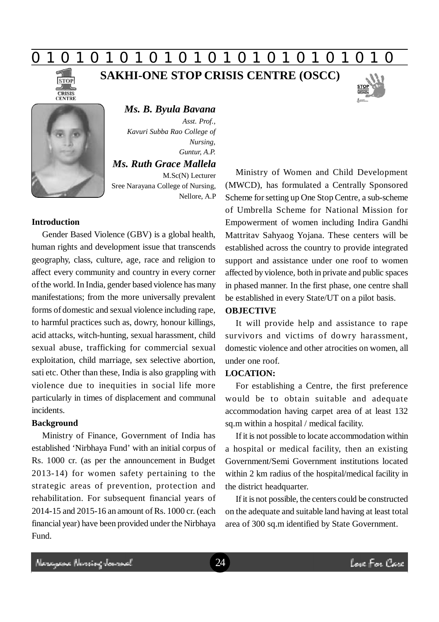# **0 z 0 z 0 z 0 z 0 z 0 z 0 z 0 z 0 z 0 z 0 z 0 z 0**

**SAKHI-ONE STOP CRISIS CENTRE (OSCC)**





*Ms. B. Byula Bavana Asst. Prof., Kavuri Subba Rao College of Nursing, Guntur, A.P. Ms. Ruth Grace Mallela* M.Sc(N) Lecturer Sree Narayana College of Nursing, Nellore, A.P

## **Introduction**

Gender Based Violence (GBV) is a global health, human rights and development issue that transcends geography, class, culture, age, race and religion to affect every community and country in every corner of the world. In India, gender based violence has many manifestations; from the more universally prevalent forms of domestic and sexual violence including rape, to harmful practices such as, dowry, honour killings, acid attacks, witch-hunting, sexual harassment, child sexual abuse, trafficking for commercial sexual exploitation, child marriage, sex selective abortion, sati etc. Other than these, India is also grappling with violence due to inequities in social life more particularly in times of displacement and communal incidents.

## **Background**

Ministry of Finance, Government of India has established 'Nirbhaya Fund' with an initial corpus of Rs. 1000 cr. (as per the announcement in Budget 2013-14) for women safety pertaining to the strategic areas of prevention, protection and rehabilitation. For subsequent financial years of 2014-15 and 2015-16 an amount of Rs. 1000 cr. (each financial year) have been provided under the Nirbhaya Fund.

Ministry of Women and Child Development (MWCD), has formulated a Centrally Sponsored Scheme for setting up One Stop Centre, a sub-scheme of Umbrella Scheme for National Mission for Empowerment of women including Indira Gandhi Mattritav Sahyaog Yojana. These centers will be established across the country to provide integrated support and assistance under one roof to women affected by violence, both in private and public spaces in phased manner. In the first phase, one centre shall be established in every State/UT on a pilot basis.

## **OBJECTIVE**

It will provide help and assistance to rape survivors and victims of dowry harassment, domestic violence and other atrocities on women, all under one roof.

## **LOCATION:**

For establishing a Centre, the first preference would be to obtain suitable and adequate accommodation having carpet area of at least 132 sq.m within a hospital / medical facility.

If it is not possible to locate accommodation within a hospital or medical facility, then an existing Government/Semi Government institutions located within 2 km radius of the hospital/medical facility in the district headquarter.

If it is not possible, the centers could be constructed on the adequate and suitable land having at least total area of 300 sq.m identified by State Government.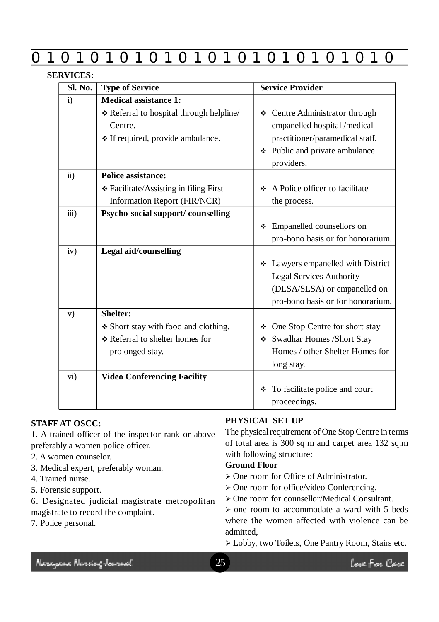|                      | O<br>$\mathbf{I}$<br>O<br>O                                                                                              | $\blacksquare$<br>O<br>O<br>Œ                                                                                                                     |
|----------------------|--------------------------------------------------------------------------------------------------------------------------|---------------------------------------------------------------------------------------------------------------------------------------------------|
| <b>SERVICES:</b>     |                                                                                                                          |                                                                                                                                                   |
| <b>Sl. No.</b>       | <b>Type of Service</b>                                                                                                   | <b>Service Provider</b>                                                                                                                           |
| $\mathbf{i}$         | <b>Medical assistance 1:</b><br>* Referral to hospital through helpline/<br>Centre.<br>* If required, provide ambulance. | ❖ Centre Administrator through<br>empanelled hospital /medical<br>practitioner/paramedical staff.<br>❖ Public and private ambulance<br>providers. |
| $\ddot{\textbf{i}}$  | <b>Police assistance:</b><br>❖ Facilitate/Assisting in filing First<br><b>Information Report (FIR/NCR)</b>               | A Police officer to facilitate<br>the process.                                                                                                    |
| $\ddot{\text{iii}})$ | Psycho-social support/counselling                                                                                        | Empanelled counsellors on<br>❖<br>pro-bono basis or for honorarium.                                                                               |
| iv)                  | Legal aid/counselling                                                                                                    | ❖ Lawyers empanelled with District<br><b>Legal Services Authority</b><br>(DLSA/SLSA) or empanelled on<br>pro-bono basis or for honorarium.        |
| V)                   | <b>Shelter:</b><br>* Short stay with food and clothing.<br>* Referral to shelter homes for<br>prolonged stay.            | ❖ One Stop Centre for short stay<br>❖ Swadhar Homes /Short Stay<br>Homes / other Shelter Homes for<br>long stay.                                  |
| vi)                  | <b>Video Conferencing Facility</b>                                                                                       | To facilitate police and court<br>❖<br>proceedings.                                                                                               |

# **STAFF AT OSCC:**

1. A trained officer of the inspector rank or above preferably a women police officer.

- 2. A women counselor.
- 3. Medical expert, preferably woman.
- 4. Trained nurse.
- 5. Forensic support.
- 6. Designated judicial magistrate metropolitan magistrate to record the complaint.
- 7. Police personal.

# **PHYSICAL SET UP**

The physical requirement of One Stop Centre in terms of total area is 300 sq m and carpet area 132 sq.m with following structure:

# **Ground Floor**

- One room for Office of Administrator.
- One room for office/video Conferencing.
- $\geq$  One room for counsellor/Medical Consultant.

 $\geq$  one room to accommodate a ward with 5 beds where the women affected with violence can be admitted,

Lobby, two Toilets, One Pantry Room, Stairs etc.